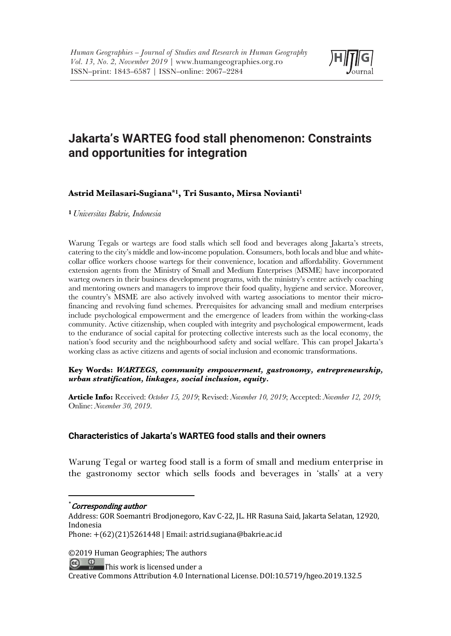

# **Jakarta's WARTEG food stall phenomenon: Constraints and opportunities for integration**

### **Astrid Meilasari-Sugiana\*1, Tri Susanto, Mirsa Novianti1**

**<sup>1</sup>***Universitas Bakrie, Indonesia*

Warung Tegals or wartegs are food stalls which sell food and beverages along Jakarta's streets, catering to the city's middle and low-income population. Consumers, both locals and blue and whitecollar office workers choose wartegs for their convenience, location and affordability. Government extension agents from the Ministry of Small and Medium Enterprises (MSME) have incorporated warteg owners in their business development programs, with the ministry's centre actively coaching and mentoring owners and managers to improve their food quality, hygiene and service. Moreover, the country's MSME are also actively involved with warteg associations to mentor their microfinancing and revolving fund schemes. Prerequisites for advancing small and medium enterprises include psychological empowerment and the emergence of leaders from within the working-class community. Active citizenship, when coupled with integrity and psychological empowerment, leads to the endurance of social capital for protecting collective interests such as the local economy, the nation's food security and the neighbourhood safety and social welfare. This can propel Jakarta's working class as active citizens and agents of social inclusion and economic transformations.

**Key Words:** *WARTEGS, community empowerment, gastronomy, entrepreneurship, urban stratification, linkages, social inclusion, equity.*

**Article Info:** Received: *October 15, 2019*; Revised: *November 10, 2019*; Accepted: *November 12, 2019*; Online: *November 30, 2019*.

### **Characteristics of Jakarta's WARTEG food stalls and their owners**

Warung Tegal or warteg food stall is a form of small and medium enterprise in the gastronomy sector which sells foods and beverages in 'stalls' at a very

©2019 Human Geographies; The authors

 $\bigoplus_{n}$   $\bigoplus_{n}$  This work is licensed under a

 $*$  Corresponding author

Address: GOR Soemantri Brodjonegoro, Kav C-22, JL. HR Rasuna Said, Jakarta Selatan, 12920, Indonesia

Phone:  $+(62)(21)5261448$  | Email: astrid.sugiana@bakrie.ac.id

Creative Commons Attribution 4.0 International License. DOI:10.5719/hgeo.2019.132.5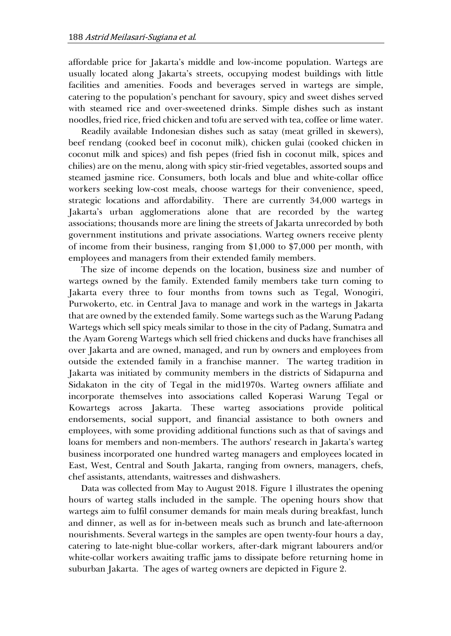affordable price for Jakarta's middle and low-income population. Wartegs are usually located along Jakarta's streets, occupying modest buildings with little facilities and amenities. Foods and beverages served in wartegs are simple, catering to the population's penchant for savoury, spicy and sweet dishes served with steamed rice and over-sweetened drinks. Simple dishes such as instant noodles, fried rice, fried chicken and tofu are served with tea, coffee or lime water.

Readily available Indonesian dishes such as satay (meat grilled in skewers), beef rendang (cooked beef in coconut milk), chicken gulai (cooked chicken in coconut milk and spices) and fish pepes (fried fish in coconut milk, spices and chilies) are on the menu, along with spicy stir-fried vegetables, assorted soups and steamed jasmine rice. Consumers, both locals and blue and white-collar office workers seeking low-cost meals, choose wartegs for their convenience, speed, strategic locations and affordability. There are currently 34,000 wartegs in Jakarta's urban agglomerations alone that are recorded by the warteg associations; thousands more are lining the streets of Jakarta unrecorded by both government institutions and private associations. Warteg owners receive plenty of income from their business, ranging from \$1,000 to \$7,000 per month, with employees and managers from their extended family members.

The size of income depends on the location, business size and number of wartegs owned by the family. Extended family members take turn coming to Jakarta every three to four months from towns such as Tegal, Wonogiri, Purwokerto, etc. in Central Java to manage and work in the wartegs in Jakarta that are owned by the extended family. Some wartegs such as the Warung Padang Wartegs which sell spicy meals similar to those in the city of Padang, Sumatra and the Ayam Goreng Wartegs which sell fried chickens and ducks have franchises all over Jakarta and are owned, managed, and run by owners and employees from outside the extended family in a franchise manner. The warteg tradition in Jakarta was initiated by community members in the districts of Sidapurna and Sidakaton in the city of Tegal in the mid1970s. Warteg owners affiliate and incorporate themselves into associations called Koperasi Warung Tegal or Kowartegs across Jakarta. These warteg associations provide political endorsements, social support, and financial assistance to both owners and employees, with some providing additional functions such as that of savings and loans for members and non-members. The authors' research in Jakarta's warteg business incorporated one hundred warteg managers and employees located in East, West, Central and South Jakarta, ranging from owners, managers, chefs, chef assistants, attendants, waitresses and dishwashers.

Data was collected from May to August 2018. Figure 1 illustrates the opening hours of warteg stalls included in the sample. The opening hours show that wartegs aim to fulfil consumer demands for main meals during breakfast, lunch and dinner, as well as for in-between meals such as brunch and late-afternoon nourishments. Several wartegs in the samples are open twenty-four hours a day, catering to late-night blue-collar workers, after-dark migrant labourers and/or white-collar workers awaiting traffic jams to dissipate before returning home in suburban Jakarta. The ages of warteg owners are depicted in Figure 2.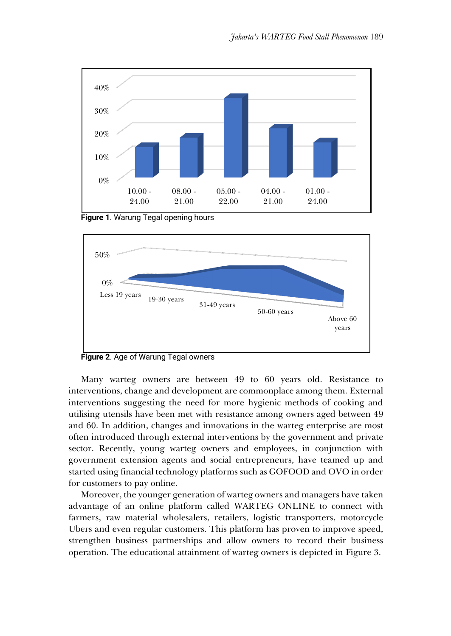

**Figure 1**. Warung Tegal opening hours



**Figure 2**. Age of Warung Tegal owners

Many warteg owners are between 49 to 60 years old. Resistance to interventions, change and development are commonplace among them. External interventions suggesting the need for more hygienic methods of cooking and utilising utensils have been met with resistance among owners aged between 49 and 60. In addition, changes and innovations in the warteg enterprise are most often introduced through external interventions by the government and private sector. Recently, young warteg owners and employees, in conjunction with government extension agents and social entrepreneurs, have teamed up and started using financial technology platforms such as GOFOOD and OVO in order for customers to pay online.

Moreover, the younger generation of warteg owners and managers have taken advantage of an online platform called WARTEG ONLINE to connect with farmers, raw material wholesalers, retailers, logistic transporters, motorcycle Ubers and even regular customers. This platform has proven to improve speed, strengthen business partnerships and allow owners to record their business operation. The educational attainment of warteg owners is depicted in Figure 3.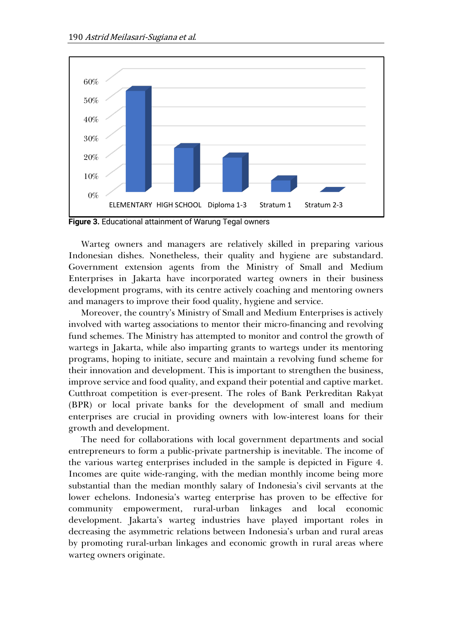

**Figure 3.** Educational attainment of Warung Tegal owners

Warteg owners and managers are relatively skilled in preparing various Indonesian dishes. Nonetheless, their quality and hygiene are substandard. Government extension agents from the Ministry of Small and Medium Enterprises in Jakarta have incorporated warteg owners in their business development programs, with its centre actively coaching and mentoring owners and managers to improve their food quality, hygiene and service.

Moreover, the country's Ministry of Small and Medium Enterprises is actively involved with warteg associations to mentor their micro-financing and revolving fund schemes. The Ministry has attempted to monitor and control the growth of wartegs in Jakarta, while also imparting grants to wartegs under its mentoring programs, hoping to initiate, secure and maintain a revolving fund scheme for their innovation and development. This is important to strengthen the business, improve service and food quality, and expand their potential and captive market. Cutthroat competition is ever-present. The roles of Bank Perkreditan Rakyat (BPR) or local private banks for the development of small and medium enterprises are crucial in providing owners with low-interest loans for their growth and development.

The need for collaborations with local government departments and social entrepreneurs to form a public-private partnership is inevitable. The income of the various warteg enterprises included in the sample is depicted in Figure 4. Incomes are quite wide-ranging, with the median monthly income being more substantial than the median monthly salary of Indonesia's civil servants at the lower echelons. Indonesia's warteg enterprise has proven to be effective for community empowerment, rural-urban linkages and local economic development. Jakarta's warteg industries have played important roles in decreasing the asymmetric relations between Indonesia's urban and rural areas by promoting rural-urban linkages and economic growth in rural areas where warteg owners originate.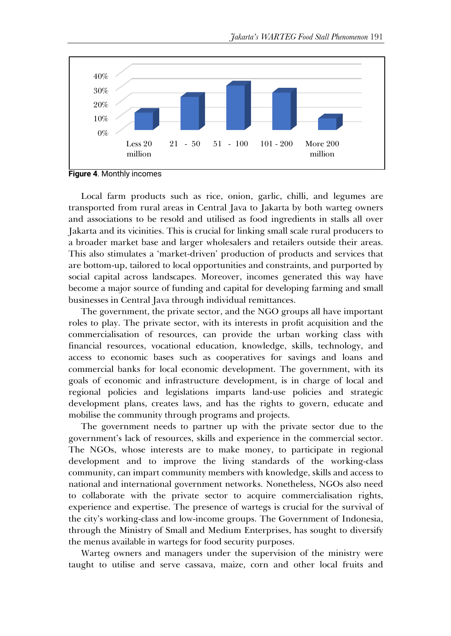

**Figure 4**. Monthly incomes

Local farm products such as rice, onion, garlic, chilli, and legumes are transported from rural areas in Central Java to Jakarta by both warteg owners and associations to be resold and utilised as food ingredients in stalls all over Jakarta and its vicinities. This is crucial for linking small scale rural producers to a broader market base and larger wholesalers and retailers outside their areas. This also stimulates a 'market-driven' production of products and services that are bottom-up, tailored to local opportunities and constraints, and purported by social capital across landscapes. Moreover, incomes generated this way have become a major source of funding and capital for developing farming and small businesses in Central Java through individual remittances.

The government, the private sector, and the NGO groups all have important roles to play. The private sector, with its interests in profit acquisition and the commercialisation of resources, can provide the urban working class with financial resources, vocational education, knowledge, skills, technology, and access to economic bases such as cooperatives for savings and loans and commercial banks for local economic development. The government, with its goals of economic and infrastructure development, is in charge of local and regional policies and legislations imparts land-use policies and strategic development plans, creates laws, and has the rights to govern, educate and mobilise the community through programs and projects.

The government needs to partner up with the private sector due to the government's lack of resources, skills and experience in the commercial sector. The NGOs, whose interests are to make money, to participate in regional development and to improve the living standards of the working-class community, can impart community members with knowledge, skills and access to national and international government networks. Nonetheless, NGOs also need to collaborate with the private sector to acquire commercialisation rights, experience and expertise. The presence of wartegs is crucial for the survival of the city's working-class and low-income groups. The Government of Indonesia, through the Ministry of Small and Medium Enterprises, has sought to diversify the menus available in wartegs for food security purposes.

Warteg owners and managers under the supervision of the ministry were taught to utilise and serve cassava, maize, corn and other local fruits and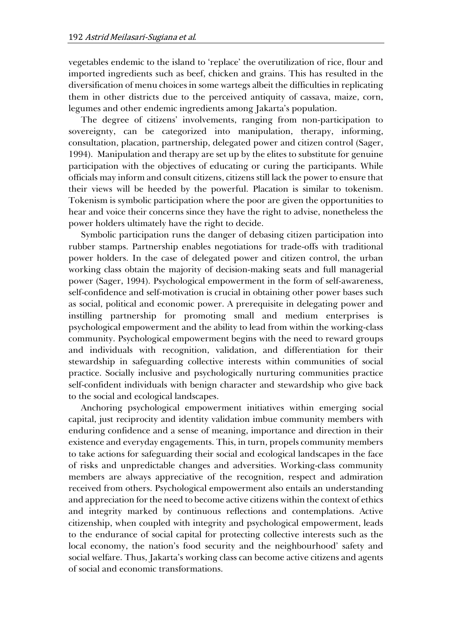vegetables endemic to the island to 'replace' the overutilization of rice, flour and imported ingredients such as beef, chicken and grains. This has resulted in the diversification of menu choices in some wartegs albeit the difficulties in replicating them in other districts due to the perceived antiquity of cassava, maize, corn, legumes and other endemic ingredients among Jakarta's population.

The degree of citizens' involvements, ranging from non-participation to sovereignty, can be categorized into manipulation, therapy, informing, consultation, placation, partnership, delegated power and citizen control (Sager, 1994). Manipulation and therapy are set up by the elites to substitute for genuine participation with the objectives of educating or curing the participants. While officials may inform and consult citizens, citizens still lack the power to ensure that their views will be heeded by the powerful. Placation is similar to tokenism. Tokenism is symbolic participation where the poor are given the opportunities to hear and voice their concerns since they have the right to advise, nonetheless the power holders ultimately have the right to decide.

Symbolic participation runs the danger of debasing citizen participation into rubber stamps. Partnership enables negotiations for trade-offs with traditional power holders. In the case of delegated power and citizen control, the urban working class obtain the majority of decision-making seats and full managerial power (Sager, 1994). Psychological empowerment in the form of self-awareness, self-confidence and self-motivation is crucial in obtaining other power bases such as social, political and economic power. A prerequisite in delegating power and instilling partnership for promoting small and medium enterprises is psychological empowerment and the ability to lead from within the working-class community. Psychological empowerment begins with the need to reward groups and individuals with recognition, validation, and differentiation for their stewardship in safeguarding collective interests within communities of social practice. Socially inclusive and psychologically nurturing communities practice self-confident individuals with benign character and stewardship who give back to the social and ecological landscapes.

Anchoring psychological empowerment initiatives within emerging social capital, just reciprocity and identity validation imbue community members with enduring confidence and a sense of meaning, importance and direction in their existence and everyday engagements. This, in turn, propels community members to take actions for safeguarding their social and ecological landscapes in the face of risks and unpredictable changes and adversities. Working-class community members are always appreciative of the recognition, respect and admiration received from others. Psychological empowerment also entails an understanding and appreciation for the need to become active citizens within the context of ethics and integrity marked by continuous reflections and contemplations. Active citizenship, when coupled with integrity and psychological empowerment, leads to the endurance of social capital for protecting collective interests such as the local economy, the nation's food security and the neighbourhood' safety and social welfare. Thus, Jakarta's working class can become active citizens and agents of social and economic transformations.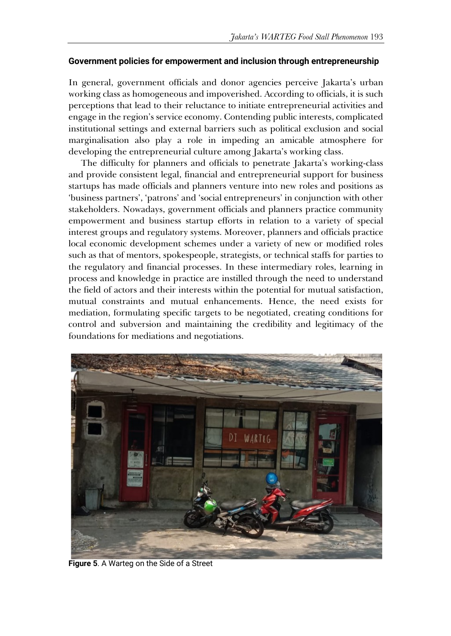### **Government policies for empowerment and inclusion through entrepreneurship**

In general, government officials and donor agencies perceive Jakarta's urban working class as homogeneous and impoverished. According to officials, it is such perceptions that lead to their reluctance to initiate entrepreneurial activities and engage in the region's service economy. Contending public interests, complicated institutional settings and external barriers such as political exclusion and social marginalisation also play a role in impeding an amicable atmosphere for developing the entrepreneurial culture among Jakarta's working class.

The difficulty for planners and officials to penetrate Jakarta's working-class and provide consistent legal, financial and entrepreneurial support for business startups has made officials and planners venture into new roles and positions as 'business partners', 'patrons' and 'social entrepreneurs' in conjunction with other stakeholders. Nowadays, government officials and planners practice community empowerment and business startup efforts in relation to a variety of special interest groups and regulatory systems. Moreover, planners and officials practice local economic development schemes under a variety of new or modified roles such as that of mentors, spokespeople, strategists, or technical staffs for parties to the regulatory and financial processes. In these intermediary roles, learning in process and knowledge in practice are instilled through the need to understand the field of actors and their interests within the potential for mutual satisfaction, mutual constraints and mutual enhancements. Hence, the need exists for mediation, formulating specific targets to be negotiated, creating conditions for control and subversion and maintaining the credibility and legitimacy of the foundations for mediations and negotiations.



**Figure 5**. A Warteg on the Side of a Street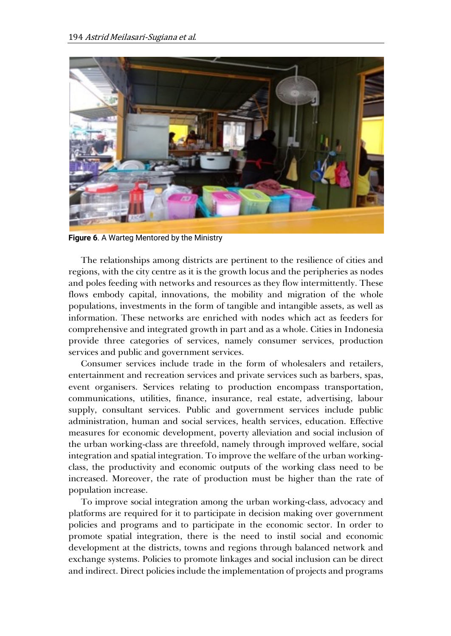

**Figure 6**. A Warteg Mentored by the Ministry

The relationships among districts are pertinent to the resilience of cities and regions, with the city centre as it is the growth locus and the peripheries as nodes and poles feeding with networks and resources as they flow intermittently. These flows embody capital, innovations, the mobility and migration of the whole populations, investments in the form of tangible and intangible assets, as well as information. These networks are enriched with nodes which act as feeders for comprehensive and integrated growth in part and as a whole. Cities in Indonesia provide three categories of services, namely consumer services, production services and public and government services.

Consumer services include trade in the form of wholesalers and retailers, entertainment and recreation services and private services such as barbers, spas, event organisers. Services relating to production encompass transportation, communications, utilities, finance, insurance, real estate, advertising, labour supply, consultant services. Public and government services include public administration, human and social services, health services, education. Effective measures for economic development, poverty alleviation and social inclusion of the urban working-class are threefold, namely through improved welfare, social integration and spatial integration. To improve the welfare of the urban workingclass, the productivity and economic outputs of the working class need to be increased. Moreover, the rate of production must be higher than the rate of population increase.

To improve social integration among the urban working-class, advocacy and platforms are required for it to participate in decision making over government policies and programs and to participate in the economic sector. In order to promote spatial integration, there is the need to instil social and economic development at the districts, towns and regions through balanced network and exchange systems. Policies to promote linkages and social inclusion can be direct and indirect. Direct policies include the implementation of projects and programs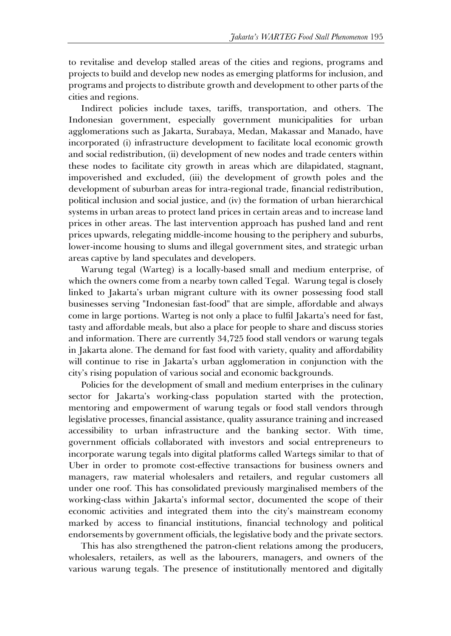to revitalise and develop stalled areas of the cities and regions, programs and projects to build and develop new nodes as emerging platforms for inclusion, and programs and projects to distribute growth and development to other parts of the cities and regions.

Indirect policies include taxes, tariffs, transportation, and others. The Indonesian government, especially government municipalities for urban agglomerations such as Jakarta, Surabaya, Medan, Makassar and Manado, have incorporated (i) infrastructure development to facilitate local economic growth and social redistribution, (ii) development of new nodes and trade centers within these nodes to facilitate city growth in areas which are dilapidated, stagnant, impoverished and excluded, (iii) the development of growth poles and the development of suburban areas for intra-regional trade, financial redistribution, political inclusion and social justice, and (iv) the formation of urban hierarchical systems in urban areas to protect land prices in certain areas and to increase land prices in other areas. The last intervention approach has pushed land and rent prices upwards, relegating middle-income housing to the periphery and suburbs, lower-income housing to slums and illegal government sites, and strategic urban areas captive by land speculates and developers.

Warung tegal (Warteg) is a locally-based small and medium enterprise, of which the owners come from a nearby town called Tegal. Warung tegal is closely linked to Jakarta's urban migrant culture with its owner possessing food stall businesses serving "Indonesian fast-food" that are simple, affordable and always come in large portions. Warteg is not only a place to fulfil Jakarta's need for fast, tasty and affordable meals, but also a place for people to share and discuss stories and information. There are currently 34,725 food stall vendors or warung tegals in Jakarta alone. The demand for fast food with variety, quality and affordability will continue to rise in Jakarta's urban agglomeration in conjunction with the city's rising population of various social and economic backgrounds.

Policies for the development of small and medium enterprises in the culinary sector for Jakarta's working-class population started with the protection, mentoring and empowerment of warung tegals or food stall vendors through legislative processes, financial assistance, quality assurance training and increased accessibility to urban infrastructure and the banking sector. With time, government officials collaborated with investors and social entrepreneurs to incorporate warung tegals into digital platforms called Wartegs similar to that of Uber in order to promote cost-effective transactions for business owners and managers, raw material wholesalers and retailers, and regular customers all under one roof. This has consolidated previously marginalised members of the working-class within Jakarta's informal sector, documented the scope of their economic activities and integrated them into the city's mainstream economy marked by access to financial institutions, financial technology and political endorsements by government officials, the legislative body and the private sectors.

This has also strengthened the patron-client relations among the producers, wholesalers, retailers, as well as the labourers, managers, and owners of the various warung tegals. The presence of institutionally mentored and digitally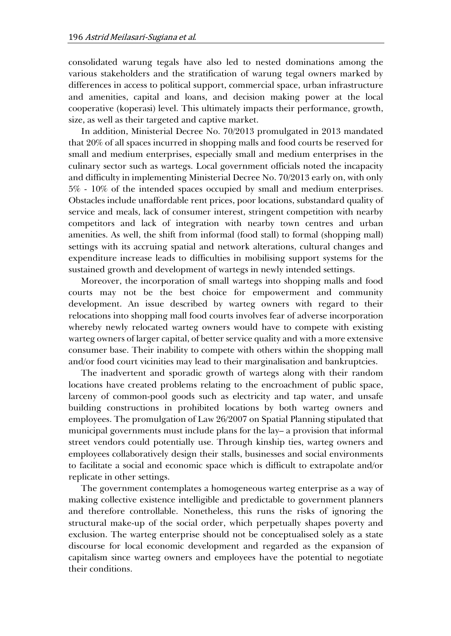consolidated warung tegals have also led to nested dominations among the various stakeholders and the stratification of warung tegal owners marked by differences in access to political support, commercial space, urban infrastructure and amenities, capital and loans, and decision making power at the local cooperative (koperasi) level. This ultimately impacts their performance, growth, size, as well as their targeted and captive market.

In addition, Ministerial Decree No. 70/2013 promulgated in 2013 mandated that 20% of all spaces incurred in shopping malls and food courts be reserved for small and medium enterprises, especially small and medium enterprises in the culinary sector such as wartegs. Local government officials noted the incapacity and difficulty in implementing Ministerial Decree No. 70/2013 early on, with only 5% - 10% of the intended spaces occupied by small and medium enterprises. Obstacles include unaffordable rent prices, poor locations, substandard quality of service and meals, lack of consumer interest, stringent competition with nearby competitors and lack of integration with nearby town centres and urban amenities. As well, the shift from informal (food stall) to formal (shopping mall) settings with its accruing spatial and network alterations, cultural changes and expenditure increase leads to difficulties in mobilising support systems for the sustained growth and development of wartegs in newly intended settings.

Moreover, the incorporation of small wartegs into shopping malls and food courts may not be the best choice for empowerment and community development. An issue described by warteg owners with regard to their relocations into shopping mall food courts involves fear of adverse incorporation whereby newly relocated warteg owners would have to compete with existing warteg owners of larger capital, of better service quality and with a more extensive consumer base. Their inability to compete with others within the shopping mall and/or food court vicinities may lead to their marginalisation and bankruptcies.

The inadvertent and sporadic growth of wartegs along with their random locations have created problems relating to the encroachment of public space, larceny of common-pool goods such as electricity and tap water, and unsafe building constructions in prohibited locations by both warteg owners and employees. The promulgation of Law 26/2007 on Spatial Planning stipulated that municipal governments must include plans for the lay– a provision that informal street vendors could potentially use. Through kinship ties, warteg owners and employees collaboratively design their stalls, businesses and social environments to facilitate a social and economic space which is difficult to extrapolate and/or replicate in other settings.

The government contemplates a homogeneous warteg enterprise as a way of making collective existence intelligible and predictable to government planners and therefore controllable. Nonetheless, this runs the risks of ignoring the structural make-up of the social order, which perpetually shapes poverty and exclusion. The warteg enterprise should not be conceptualised solely as a state discourse for local economic development and regarded as the expansion of capitalism since warteg owners and employees have the potential to negotiate their conditions.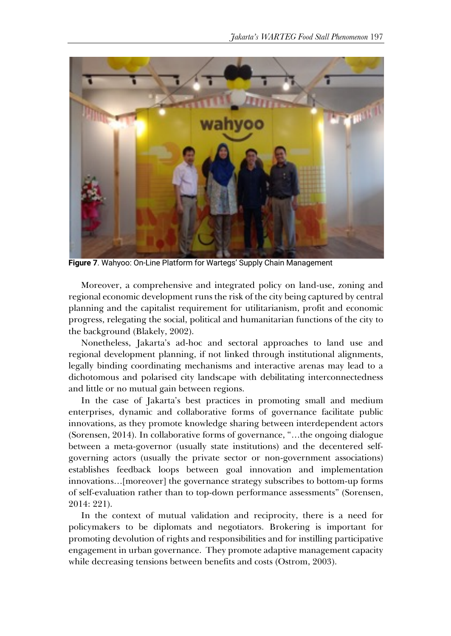

**Figure 7**. Wahyoo: On-Line Platform for Wartegs' Supply Chain Management

Moreover, a comprehensive and integrated policy on land-use, zoning and regional economic development runs the risk of the city being captured by central planning and the capitalist requirement for utilitarianism, profit and economic progress, relegating the social, political and humanitarian functions of the city to the background (Blakely, 2002).

Nonetheless, Jakarta's ad-hoc and sectoral approaches to land use and regional development planning, if not linked through institutional alignments, legally binding coordinating mechanisms and interactive arenas may lead to a dichotomous and polarised city landscape with debilitating interconnectedness and little or no mutual gain between regions.

In the case of Jakarta's best practices in promoting small and medium enterprises, dynamic and collaborative forms of governance facilitate public innovations, as they promote knowledge sharing between interdependent actors (Sorensen, 2014). In collaborative forms of governance, "…the ongoing dialogue between a meta-governor (usually state institutions) and the decentered selfgoverning actors (usually the private sector or non-government associations) establishes feedback loops between goal innovation and implementation innovations…[moreover] the governance strategy subscribes to bottom-up forms of self-evaluation rather than to top-down performance assessments" (Sorensen, 2014: 221).

In the context of mutual validation and reciprocity, there is a need for policymakers to be diplomats and negotiators. Brokering is important for promoting devolution of rights and responsibilities and for instilling participative engagement in urban governance. They promote adaptive management capacity while decreasing tensions between benefits and costs (Ostrom, 2003).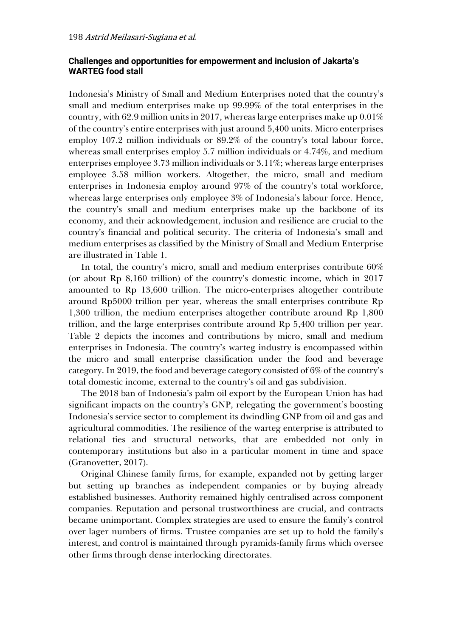## **Challenges and opportunities for empowerment and inclusion of Jakarta's WARTEG food stall**

Indonesia's Ministry of Small and Medium Enterprises noted that the country's small and medium enterprises make up 99.99% of the total enterprises in the country, with 62.9 million units in 2017, whereas large enterprises make up  $0.01\%$ of the country's entire enterprises with just around 5,400 units. Micro enterprises employ 107.2 million individuals or 89.2% of the country's total labour force, whereas small enterprises employ 5.7 million individuals or 4.74%, and medium enterprises employee 3.73 million individuals or 3.11%; whereas large enterprises employee 3.58 million workers. Altogether, the micro, small and medium enterprises in Indonesia employ around 97% of the country's total workforce, whereas large enterprises only employee 3% of Indonesia's labour force. Hence, the country's small and medium enterprises make up the backbone of its economy, and their acknowledgement, inclusion and resilience are crucial to the country's financial and political security. The criteria of Indonesia's small and medium enterprises as classified by the Ministry of Small and Medium Enterprise are illustrated in Table 1.

In total, the country's micro, small and medium enterprises contribute 60% (or about Rp 8,160 trillion) of the country's domestic income, which in 2017 amounted to Rp 13,600 trillion. The micro-enterprises altogether contribute around Rp5000 trillion per year, whereas the small enterprises contribute Rp 1,300 trillion, the medium enterprises altogether contribute around Rp 1,800 trillion, and the large enterprises contribute around Rp 5,400 trillion per year. Table 2 depicts the incomes and contributions by micro, small and medium enterprises in Indonesia. The country's warteg industry is encompassed within the micro and small enterprise classification under the food and beverage category. In 2019, the food and beverage category consisted of 6% of the country's total domestic income, external to the country's oil and gas subdivision.

The 2018 ban of Indonesia's palm oil export by the European Union has had significant impacts on the country's GNP, relegating the government's boosting Indonesia's service sector to complement its dwindling GNP from oil and gas and agricultural commodities. The resilience of the warteg enterprise is attributed to relational ties and structural networks, that are embedded not only in contemporary institutions but also in a particular moment in time and space (Granovetter, 2017).

Original Chinese family firms, for example, expanded not by getting larger but setting up branches as independent companies or by buying already established businesses. Authority remained highly centralised across component companies. Reputation and personal trustworthiness are crucial, and contracts became unimportant. Complex strategies are used to ensure the family's control over lager numbers of firms. Trustee companies are set up to hold the family's interest, and control is maintained through pyramids-family firms which oversee other firms through dense interlocking directorates.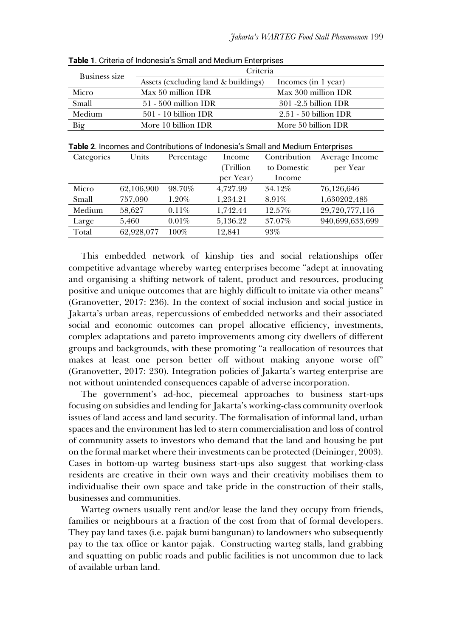| Business size | Criteria                            |                         |  |
|---------------|-------------------------------------|-------------------------|--|
|               | Assets (excluding land & buildings) | Incomes (in 1 year)     |  |
| Micro         | Max 50 million IDR                  | Max 300 million IDR     |  |
| Small         | $51 - 500$ million IDR              | $301 - 2.5$ billion IDR |  |
| Medium        | $501 - 10$ billion IDR              | $2.51 - 50$ billion IDR |  |
| Big           | More 10 billion IDR                 | More 50 billion IDR     |  |

**Table 1**. Criteria of Indonesia's Small and Medium Enterprises

**Table 2**. Incomes and Contributions of Indonesia's Small and Medium Enterprises

| Categories | Units      | Percentage | Income    | Contribution | Average Income  |
|------------|------------|------------|-----------|--------------|-----------------|
|            |            |            | (Trillion | to Domestic  | per Year        |
|            |            |            | per Year) | Income       |                 |
| Micro      | 62,106,900 | 98.70%     | 4.727.99  | 34.12%       | 76,126,646      |
| Small      | 757,090    | 1.20%      | 1,234.21  | 8.91%        | 1,630202,485    |
| Medium     | 58.627     | 0.11%      | 1.742.44  | 12.57%       | 29,720,777,116  |
| Large      | 5.460      | 0.01%      | 5,136.22  | 37.07%       | 940,699,633,699 |
| Total      | 62,928,077 | 100%       | 12,841    | 93%          |                 |

This embedded network of kinship ties and social relationships offer competitive advantage whereby warteg enterprises become "adept at innovating and organising a shifting network of talent, product and resources, producing positive and unique outcomes that are highly difficult to imitate via other means" (Granovetter, 2017: 236). In the context of social inclusion and social justice in Jakarta's urban areas, repercussions of embedded networks and their associated social and economic outcomes can propel allocative efficiency, investments, complex adaptations and pareto improvements among city dwellers of different groups and backgrounds, with these promoting "a reallocation of resources that makes at least one person better off without making anyone worse off" (Granovetter, 2017: 230). Integration policies of Jakarta's warteg enterprise are not without unintended consequences capable of adverse incorporation.

The government's ad-hoc, piecemeal approaches to business start-ups focusing on subsidies and lending for Jakarta's working-class community overlook issues of land access and land security. The formalisation of informal land, urban spaces and the environment has led to stern commercialisation and loss of control of community assets to investors who demand that the land and housing be put on the formal market where their investments can be protected (Deininger, 2003). Cases in bottom-up warteg business start-ups also suggest that working-class residents are creative in their own ways and their creativity mobilises them to individualise their own space and take pride in the construction of their stalls, businesses and communities.

Warteg owners usually rent and/or lease the land they occupy from friends, families or neighbours at a fraction of the cost from that of formal developers. They pay land taxes (i.e. pajak bumi bangunan) to landowners who subsequently pay to the tax office or kantor pajak. Constructing warteg stalls, land grabbing and squatting on public roads and public facilities is not uncommon due to lack of available urban land.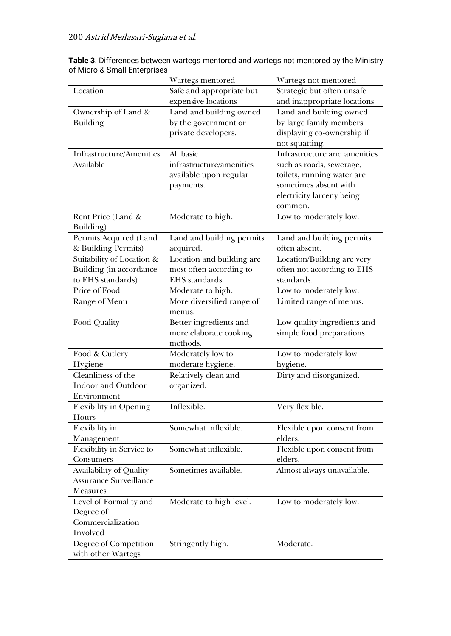| Location<br>Safe and appropriate but<br>Strategic but often unsafe<br>and inappropriate locations<br>expensive locations<br>Land and building owned<br>Land and building owned<br>Ownership of Land &<br><b>Building</b><br>by the government or<br>by large family members<br>private developers.<br>displaying co-ownership if<br>not squatting.<br>All basic<br>Infrastructure and amenities<br>Infrastructure/Amenities<br>Available<br>infrastructure/amenities<br>such as roads, sewerage,<br>available upon regular<br>toilets, running water are<br>sometimes absent with<br>payments.<br>electricity larceny being<br>common.<br>Rent Price (Land &<br>Moderate to high.<br>Low to moderately low.<br>Building)<br>Permits Acquired (Land<br>Land and building permits<br>Land and building permits<br>& Building Permits)<br>acquired.<br>often absent.<br>Suitability of Location &<br>Location and building are<br>Location/Building are very<br>Building (in accordance<br>most often according to<br>often not according to EHS<br>to EHS standards)<br>EHS standards.<br>standards.<br>Price of Food<br>Low to moderately low.<br>Moderate to high.<br>Range of Menu<br>More diversified range of<br>Limited range of menus.<br>menus.<br>Better ingredients and<br>Low quality ingredients and<br>Food Quality<br>more elaborate cooking<br>simple food preparations.<br>methods.<br>Food & Cutlery<br>Moderately low to<br>Low to moderately low<br>Hygiene<br>moderate hygiene.<br>hygiene.<br>Cleanliness of the<br>Dirty and disorganized.<br>Relatively clean and<br><b>Indoor and Outdoor</b><br>organized.<br>Environment<br>Inflexible.<br>Flexibility in Opening<br>Very flexible.<br>Hours<br>Flexibility in<br>Somewhat inflexible.<br>Flexible upon consent from<br>elders.<br>Management<br>Flexibility in Service to<br>Somewhat inflexible.<br>Flexible upon consent from<br>elders.<br>Consumers<br>Availability of Quality<br>Sometimes available.<br>Almost always unavailable.<br>Assurance Surveillance<br><b>Measures</b><br>Moderate to high level.<br>Level of Formality and<br>Low to moderately low. |           | Wartegs mentored | Wartegs not mentored |
|-----------------------------------------------------------------------------------------------------------------------------------------------------------------------------------------------------------------------------------------------------------------------------------------------------------------------------------------------------------------------------------------------------------------------------------------------------------------------------------------------------------------------------------------------------------------------------------------------------------------------------------------------------------------------------------------------------------------------------------------------------------------------------------------------------------------------------------------------------------------------------------------------------------------------------------------------------------------------------------------------------------------------------------------------------------------------------------------------------------------------------------------------------------------------------------------------------------------------------------------------------------------------------------------------------------------------------------------------------------------------------------------------------------------------------------------------------------------------------------------------------------------------------------------------------------------------------------------------------------------------------------------------------------------------------------------------------------------------------------------------------------------------------------------------------------------------------------------------------------------------------------------------------------------------------------------------------------------------------------------------------------------------------------------------------------------------------------------------------------------------------------------------|-----------|------------------|----------------------|
|                                                                                                                                                                                                                                                                                                                                                                                                                                                                                                                                                                                                                                                                                                                                                                                                                                                                                                                                                                                                                                                                                                                                                                                                                                                                                                                                                                                                                                                                                                                                                                                                                                                                                                                                                                                                                                                                                                                                                                                                                                                                                                                                               |           |                  |                      |
|                                                                                                                                                                                                                                                                                                                                                                                                                                                                                                                                                                                                                                                                                                                                                                                                                                                                                                                                                                                                                                                                                                                                                                                                                                                                                                                                                                                                                                                                                                                                                                                                                                                                                                                                                                                                                                                                                                                                                                                                                                                                                                                                               |           |                  |                      |
|                                                                                                                                                                                                                                                                                                                                                                                                                                                                                                                                                                                                                                                                                                                                                                                                                                                                                                                                                                                                                                                                                                                                                                                                                                                                                                                                                                                                                                                                                                                                                                                                                                                                                                                                                                                                                                                                                                                                                                                                                                                                                                                                               |           |                  |                      |
|                                                                                                                                                                                                                                                                                                                                                                                                                                                                                                                                                                                                                                                                                                                                                                                                                                                                                                                                                                                                                                                                                                                                                                                                                                                                                                                                                                                                                                                                                                                                                                                                                                                                                                                                                                                                                                                                                                                                                                                                                                                                                                                                               |           |                  |                      |
|                                                                                                                                                                                                                                                                                                                                                                                                                                                                                                                                                                                                                                                                                                                                                                                                                                                                                                                                                                                                                                                                                                                                                                                                                                                                                                                                                                                                                                                                                                                                                                                                                                                                                                                                                                                                                                                                                                                                                                                                                                                                                                                                               |           |                  |                      |
|                                                                                                                                                                                                                                                                                                                                                                                                                                                                                                                                                                                                                                                                                                                                                                                                                                                                                                                                                                                                                                                                                                                                                                                                                                                                                                                                                                                                                                                                                                                                                                                                                                                                                                                                                                                                                                                                                                                                                                                                                                                                                                                                               |           |                  |                      |
|                                                                                                                                                                                                                                                                                                                                                                                                                                                                                                                                                                                                                                                                                                                                                                                                                                                                                                                                                                                                                                                                                                                                                                                                                                                                                                                                                                                                                                                                                                                                                                                                                                                                                                                                                                                                                                                                                                                                                                                                                                                                                                                                               |           |                  |                      |
|                                                                                                                                                                                                                                                                                                                                                                                                                                                                                                                                                                                                                                                                                                                                                                                                                                                                                                                                                                                                                                                                                                                                                                                                                                                                                                                                                                                                                                                                                                                                                                                                                                                                                                                                                                                                                                                                                                                                                                                                                                                                                                                                               |           |                  |                      |
|                                                                                                                                                                                                                                                                                                                                                                                                                                                                                                                                                                                                                                                                                                                                                                                                                                                                                                                                                                                                                                                                                                                                                                                                                                                                                                                                                                                                                                                                                                                                                                                                                                                                                                                                                                                                                                                                                                                                                                                                                                                                                                                                               |           |                  |                      |
|                                                                                                                                                                                                                                                                                                                                                                                                                                                                                                                                                                                                                                                                                                                                                                                                                                                                                                                                                                                                                                                                                                                                                                                                                                                                                                                                                                                                                                                                                                                                                                                                                                                                                                                                                                                                                                                                                                                                                                                                                                                                                                                                               |           |                  |                      |
|                                                                                                                                                                                                                                                                                                                                                                                                                                                                                                                                                                                                                                                                                                                                                                                                                                                                                                                                                                                                                                                                                                                                                                                                                                                                                                                                                                                                                                                                                                                                                                                                                                                                                                                                                                                                                                                                                                                                                                                                                                                                                                                                               |           |                  |                      |
|                                                                                                                                                                                                                                                                                                                                                                                                                                                                                                                                                                                                                                                                                                                                                                                                                                                                                                                                                                                                                                                                                                                                                                                                                                                                                                                                                                                                                                                                                                                                                                                                                                                                                                                                                                                                                                                                                                                                                                                                                                                                                                                                               |           |                  |                      |
|                                                                                                                                                                                                                                                                                                                                                                                                                                                                                                                                                                                                                                                                                                                                                                                                                                                                                                                                                                                                                                                                                                                                                                                                                                                                                                                                                                                                                                                                                                                                                                                                                                                                                                                                                                                                                                                                                                                                                                                                                                                                                                                                               |           |                  |                      |
|                                                                                                                                                                                                                                                                                                                                                                                                                                                                                                                                                                                                                                                                                                                                                                                                                                                                                                                                                                                                                                                                                                                                                                                                                                                                                                                                                                                                                                                                                                                                                                                                                                                                                                                                                                                                                                                                                                                                                                                                                                                                                                                                               |           |                  |                      |
|                                                                                                                                                                                                                                                                                                                                                                                                                                                                                                                                                                                                                                                                                                                                                                                                                                                                                                                                                                                                                                                                                                                                                                                                                                                                                                                                                                                                                                                                                                                                                                                                                                                                                                                                                                                                                                                                                                                                                                                                                                                                                                                                               |           |                  |                      |
|                                                                                                                                                                                                                                                                                                                                                                                                                                                                                                                                                                                                                                                                                                                                                                                                                                                                                                                                                                                                                                                                                                                                                                                                                                                                                                                                                                                                                                                                                                                                                                                                                                                                                                                                                                                                                                                                                                                                                                                                                                                                                                                                               |           |                  |                      |
|                                                                                                                                                                                                                                                                                                                                                                                                                                                                                                                                                                                                                                                                                                                                                                                                                                                                                                                                                                                                                                                                                                                                                                                                                                                                                                                                                                                                                                                                                                                                                                                                                                                                                                                                                                                                                                                                                                                                                                                                                                                                                                                                               |           |                  |                      |
|                                                                                                                                                                                                                                                                                                                                                                                                                                                                                                                                                                                                                                                                                                                                                                                                                                                                                                                                                                                                                                                                                                                                                                                                                                                                                                                                                                                                                                                                                                                                                                                                                                                                                                                                                                                                                                                                                                                                                                                                                                                                                                                                               |           |                  |                      |
|                                                                                                                                                                                                                                                                                                                                                                                                                                                                                                                                                                                                                                                                                                                                                                                                                                                                                                                                                                                                                                                                                                                                                                                                                                                                                                                                                                                                                                                                                                                                                                                                                                                                                                                                                                                                                                                                                                                                                                                                                                                                                                                                               |           |                  |                      |
|                                                                                                                                                                                                                                                                                                                                                                                                                                                                                                                                                                                                                                                                                                                                                                                                                                                                                                                                                                                                                                                                                                                                                                                                                                                                                                                                                                                                                                                                                                                                                                                                                                                                                                                                                                                                                                                                                                                                                                                                                                                                                                                                               |           |                  |                      |
|                                                                                                                                                                                                                                                                                                                                                                                                                                                                                                                                                                                                                                                                                                                                                                                                                                                                                                                                                                                                                                                                                                                                                                                                                                                                                                                                                                                                                                                                                                                                                                                                                                                                                                                                                                                                                                                                                                                                                                                                                                                                                                                                               |           |                  |                      |
|                                                                                                                                                                                                                                                                                                                                                                                                                                                                                                                                                                                                                                                                                                                                                                                                                                                                                                                                                                                                                                                                                                                                                                                                                                                                                                                                                                                                                                                                                                                                                                                                                                                                                                                                                                                                                                                                                                                                                                                                                                                                                                                                               |           |                  |                      |
|                                                                                                                                                                                                                                                                                                                                                                                                                                                                                                                                                                                                                                                                                                                                                                                                                                                                                                                                                                                                                                                                                                                                                                                                                                                                                                                                                                                                                                                                                                                                                                                                                                                                                                                                                                                                                                                                                                                                                                                                                                                                                                                                               |           |                  |                      |
|                                                                                                                                                                                                                                                                                                                                                                                                                                                                                                                                                                                                                                                                                                                                                                                                                                                                                                                                                                                                                                                                                                                                                                                                                                                                                                                                                                                                                                                                                                                                                                                                                                                                                                                                                                                                                                                                                                                                                                                                                                                                                                                                               |           |                  |                      |
|                                                                                                                                                                                                                                                                                                                                                                                                                                                                                                                                                                                                                                                                                                                                                                                                                                                                                                                                                                                                                                                                                                                                                                                                                                                                                                                                                                                                                                                                                                                                                                                                                                                                                                                                                                                                                                                                                                                                                                                                                                                                                                                                               |           |                  |                      |
|                                                                                                                                                                                                                                                                                                                                                                                                                                                                                                                                                                                                                                                                                                                                                                                                                                                                                                                                                                                                                                                                                                                                                                                                                                                                                                                                                                                                                                                                                                                                                                                                                                                                                                                                                                                                                                                                                                                                                                                                                                                                                                                                               |           |                  |                      |
|                                                                                                                                                                                                                                                                                                                                                                                                                                                                                                                                                                                                                                                                                                                                                                                                                                                                                                                                                                                                                                                                                                                                                                                                                                                                                                                                                                                                                                                                                                                                                                                                                                                                                                                                                                                                                                                                                                                                                                                                                                                                                                                                               |           |                  |                      |
|                                                                                                                                                                                                                                                                                                                                                                                                                                                                                                                                                                                                                                                                                                                                                                                                                                                                                                                                                                                                                                                                                                                                                                                                                                                                                                                                                                                                                                                                                                                                                                                                                                                                                                                                                                                                                                                                                                                                                                                                                                                                                                                                               |           |                  |                      |
|                                                                                                                                                                                                                                                                                                                                                                                                                                                                                                                                                                                                                                                                                                                                                                                                                                                                                                                                                                                                                                                                                                                                                                                                                                                                                                                                                                                                                                                                                                                                                                                                                                                                                                                                                                                                                                                                                                                                                                                                                                                                                                                                               |           |                  |                      |
|                                                                                                                                                                                                                                                                                                                                                                                                                                                                                                                                                                                                                                                                                                                                                                                                                                                                                                                                                                                                                                                                                                                                                                                                                                                                                                                                                                                                                                                                                                                                                                                                                                                                                                                                                                                                                                                                                                                                                                                                                                                                                                                                               |           |                  |                      |
|                                                                                                                                                                                                                                                                                                                                                                                                                                                                                                                                                                                                                                                                                                                                                                                                                                                                                                                                                                                                                                                                                                                                                                                                                                                                                                                                                                                                                                                                                                                                                                                                                                                                                                                                                                                                                                                                                                                                                                                                                                                                                                                                               |           |                  |                      |
|                                                                                                                                                                                                                                                                                                                                                                                                                                                                                                                                                                                                                                                                                                                                                                                                                                                                                                                                                                                                                                                                                                                                                                                                                                                                                                                                                                                                                                                                                                                                                                                                                                                                                                                                                                                                                                                                                                                                                                                                                                                                                                                                               |           |                  |                      |
|                                                                                                                                                                                                                                                                                                                                                                                                                                                                                                                                                                                                                                                                                                                                                                                                                                                                                                                                                                                                                                                                                                                                                                                                                                                                                                                                                                                                                                                                                                                                                                                                                                                                                                                                                                                                                                                                                                                                                                                                                                                                                                                                               |           |                  |                      |
|                                                                                                                                                                                                                                                                                                                                                                                                                                                                                                                                                                                                                                                                                                                                                                                                                                                                                                                                                                                                                                                                                                                                                                                                                                                                                                                                                                                                                                                                                                                                                                                                                                                                                                                                                                                                                                                                                                                                                                                                                                                                                                                                               |           |                  |                      |
|                                                                                                                                                                                                                                                                                                                                                                                                                                                                                                                                                                                                                                                                                                                                                                                                                                                                                                                                                                                                                                                                                                                                                                                                                                                                                                                                                                                                                                                                                                                                                                                                                                                                                                                                                                                                                                                                                                                                                                                                                                                                                                                                               |           |                  |                      |
|                                                                                                                                                                                                                                                                                                                                                                                                                                                                                                                                                                                                                                                                                                                                                                                                                                                                                                                                                                                                                                                                                                                                                                                                                                                                                                                                                                                                                                                                                                                                                                                                                                                                                                                                                                                                                                                                                                                                                                                                                                                                                                                                               |           |                  |                      |
|                                                                                                                                                                                                                                                                                                                                                                                                                                                                                                                                                                                                                                                                                                                                                                                                                                                                                                                                                                                                                                                                                                                                                                                                                                                                                                                                                                                                                                                                                                                                                                                                                                                                                                                                                                                                                                                                                                                                                                                                                                                                                                                                               |           |                  |                      |
|                                                                                                                                                                                                                                                                                                                                                                                                                                                                                                                                                                                                                                                                                                                                                                                                                                                                                                                                                                                                                                                                                                                                                                                                                                                                                                                                                                                                                                                                                                                                                                                                                                                                                                                                                                                                                                                                                                                                                                                                                                                                                                                                               |           |                  |                      |
|                                                                                                                                                                                                                                                                                                                                                                                                                                                                                                                                                                                                                                                                                                                                                                                                                                                                                                                                                                                                                                                                                                                                                                                                                                                                                                                                                                                                                                                                                                                                                                                                                                                                                                                                                                                                                                                                                                                                                                                                                                                                                                                                               |           |                  |                      |
|                                                                                                                                                                                                                                                                                                                                                                                                                                                                                                                                                                                                                                                                                                                                                                                                                                                                                                                                                                                                                                                                                                                                                                                                                                                                                                                                                                                                                                                                                                                                                                                                                                                                                                                                                                                                                                                                                                                                                                                                                                                                                                                                               |           |                  |                      |
|                                                                                                                                                                                                                                                                                                                                                                                                                                                                                                                                                                                                                                                                                                                                                                                                                                                                                                                                                                                                                                                                                                                                                                                                                                                                                                                                                                                                                                                                                                                                                                                                                                                                                                                                                                                                                                                                                                                                                                                                                                                                                                                                               |           |                  |                      |
| Commercialization                                                                                                                                                                                                                                                                                                                                                                                                                                                                                                                                                                                                                                                                                                                                                                                                                                                                                                                                                                                                                                                                                                                                                                                                                                                                                                                                                                                                                                                                                                                                                                                                                                                                                                                                                                                                                                                                                                                                                                                                                                                                                                                             | Degree of |                  |                      |
| Involved                                                                                                                                                                                                                                                                                                                                                                                                                                                                                                                                                                                                                                                                                                                                                                                                                                                                                                                                                                                                                                                                                                                                                                                                                                                                                                                                                                                                                                                                                                                                                                                                                                                                                                                                                                                                                                                                                                                                                                                                                                                                                                                                      |           |                  |                      |
| Degree of Competition<br>Stringently high.<br>Moderate.                                                                                                                                                                                                                                                                                                                                                                                                                                                                                                                                                                                                                                                                                                                                                                                                                                                                                                                                                                                                                                                                                                                                                                                                                                                                                                                                                                                                                                                                                                                                                                                                                                                                                                                                                                                                                                                                                                                                                                                                                                                                                       |           |                  |                      |
| with other Wartegs                                                                                                                                                                                                                                                                                                                                                                                                                                                                                                                                                                                                                                                                                                                                                                                                                                                                                                                                                                                                                                                                                                                                                                                                                                                                                                                                                                                                                                                                                                                                                                                                                                                                                                                                                                                                                                                                                                                                                                                                                                                                                                                            |           |                  |                      |

**Table 3**. Differences between wartegs mentored and wartegs not mentored by the Ministry of Micro & Small Enterprises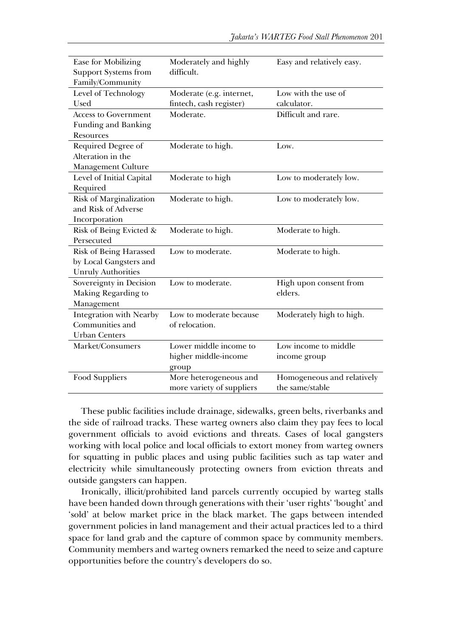| Ease for Mobilizing         | Moderately and highly     | Easy and relatively easy.  |
|-----------------------------|---------------------------|----------------------------|
| <b>Support Systems from</b> | difficult.                |                            |
| Family/Community            |                           |                            |
| Level of Technology         | Moderate (e.g. internet,  | Low with the use of        |
| Used                        | fintech, cash register)   | calculator.                |
| Access to Government        | Moderate.                 | Difficult and rare.        |
| Funding and Banking         |                           |                            |
| Resources                   |                           |                            |
| Required Degree of          | Moderate to high.         | Low.                       |
| Alteration in the           |                           |                            |
| Management Culture          |                           |                            |
| Level of Initial Capital    | Moderate to high          | Low to moderately low.     |
| Required                    |                           |                            |
| Risk of Marginalization     | Moderate to high.         | Low to moderately low.     |
| and Risk of Adverse         |                           |                            |
| Incorporation               |                           |                            |
| Risk of Being Evicted &     | Moderate to high.         | Moderate to high.          |
| Persecuted                  |                           |                            |
| Risk of Being Harassed      | Low to moderate.          | Moderate to high.          |
| by Local Gangsters and      |                           |                            |
| <b>Unruly Authorities</b>   |                           |                            |
| Sovereignty in Decision     | Low to moderate.          | High upon consent from     |
| Making Regarding to         |                           | elders.                    |
| Management                  |                           |                            |
| Integration with Nearby     | Low to moderate because   | Moderately high to high.   |
| Communities and             | of relocation.            |                            |
| <b>Urban Centers</b>        |                           |                            |
| Market/Consumers            | Lower middle income to    | Low income to middle       |
|                             | higher middle-income      | income group               |
|                             | group                     |                            |
| Food Suppliers              | More heterogeneous and    | Homogeneous and relatively |
|                             | more variety of suppliers | the same/stable            |

These public facilities include drainage, sidewalks, green belts, riverbanks and the side of railroad tracks. These warteg owners also claim they pay fees to local government officials to avoid evictions and threats. Cases of local gangsters working with local police and local officials to extort money from warteg owners for squatting in public places and using public facilities such as tap water and electricity while simultaneously protecting owners from eviction threats and outside gangsters can happen.

Ironically, illicit/prohibited land parcels currently occupied by warteg stalls have been handed down through generations with their 'user rights' 'bought' and 'sold' at below market price in the black market. The gaps between intended government policies in land management and their actual practices led to a third space for land grab and the capture of common space by community members. Community members and warteg owners remarked the need to seize and capture opportunities before the country's developers do so.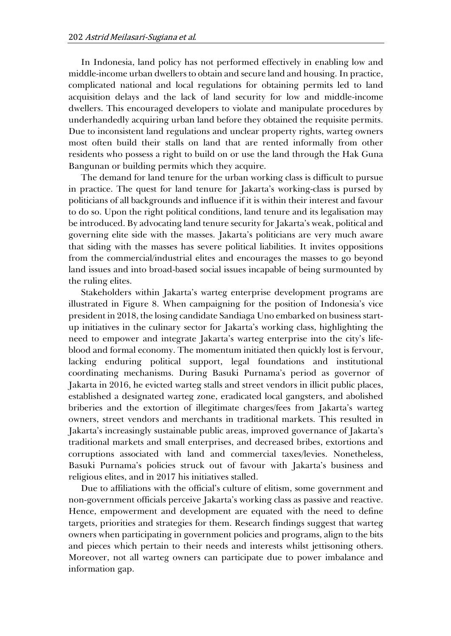In Indonesia, land policy has not performed effectively in enabling low and middle-income urban dwellers to obtain and secure land and housing. In practice, complicated national and local regulations for obtaining permits led to land acquisition delays and the lack of land security for low and middle-income dwellers. This encouraged developers to violate and manipulate procedures by underhandedly acquiring urban land before they obtained the requisite permits. Due to inconsistent land regulations and unclear property rights, warteg owners most often build their stalls on land that are rented informally from other residents who possess a right to build on or use the land through the Hak Guna Bangunan or building permits which they acquire.

The demand for land tenure for the urban working class is difficult to pursue in practice. The quest for land tenure for Jakarta's working-class is pursed by politicians of all backgrounds and influence if it is within their interest and favour to do so. Upon the right political conditions, land tenure and its legalisation may be introduced. By advocating land tenure security for Jakarta's weak, political and governing elite side with the masses. Jakarta's politicians are very much aware that siding with the masses has severe political liabilities. It invites oppositions from the commercial/industrial elites and encourages the masses to go beyond land issues and into broad-based social issues incapable of being surmounted by the ruling elites.

Stakeholders within Jakarta's warteg enterprise development programs are illustrated in Figure 8. When campaigning for the position of Indonesia's vice president in 2018, the losing candidate Sandiaga Uno embarked on business startup initiatives in the culinary sector for Jakarta's working class, highlighting the need to empower and integrate Jakarta's warteg enterprise into the city's lifeblood and formal economy. The momentum initiated then quickly lost is fervour, lacking enduring political support, legal foundations and institutional coordinating mechanisms. During Basuki Purnama's period as governor of Jakarta in 2016, he evicted warteg stalls and street vendors in illicit public places, established a designated warteg zone, eradicated local gangsters, and abolished briberies and the extortion of illegitimate charges/fees from Jakarta's warteg owners, street vendors and merchants in traditional markets. This resulted in Jakarta's increasingly sustainable public areas, improved governance of Jakarta's traditional markets and small enterprises, and decreased bribes, extortions and corruptions associated with land and commercial taxes/levies. Nonetheless, Basuki Purnama's policies struck out of favour with Jakarta's business and religious elites, and in 2017 his initiatives stalled.

Due to affiliations with the official's culture of elitism, some government and non-government officials perceive Jakarta's working class as passive and reactive. Hence, empowerment and development are equated with the need to define targets, priorities and strategies for them. Research findings suggest that warteg owners when participating in government policies and programs, align to the bits and pieces which pertain to their needs and interests whilst jettisoning others. Moreover, not all warteg owners can participate due to power imbalance and information gap.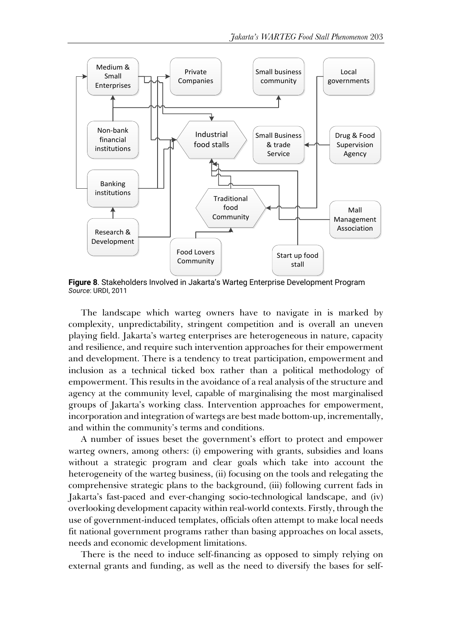

**Figure 8**. Stakeholders Involved in Jakarta's Warteg Enterprise Development Program *Source*: URDI, 2011

The landscape which warteg owners have to navigate in is marked by complexity, unpredictability, stringent competition and is overall an uneven playing field. Jakarta's warteg enterprises are heterogeneous in nature, capacity and resilience, and require such intervention approaches for their empowerment and development. There is a tendency to treat participation, empowerment and inclusion as a technical ticked box rather than a political methodology of empowerment. This results in the avoidance of a real analysis of the structure and agency at the community level, capable of marginalising the most marginalised groups of Jakarta's working class. Intervention approaches for empowerment, incorporation and integration of wartegs are best made bottom-up, incrementally, and within the community's terms and conditions.

A number of issues beset the government's effort to protect and empower warteg owners, among others: (i) empowering with grants, subsidies and loans without a strategic program and clear goals which take into account the heterogeneity of the warteg business, (ii) focusing on the tools and relegating the comprehensive strategic plans to the background, (iii) following current fads in Jakarta's fast-paced and ever-changing socio-technological landscape, and (iv) overlooking development capacity within real-world contexts. Firstly, through the use of government-induced templates, officials often attempt to make local needs fit national government programs rather than basing approaches on local assets, needs and economic development limitations.

There is the need to induce self-financing as opposed to simply relying on external grants and funding, as well as the need to diversify the bases for self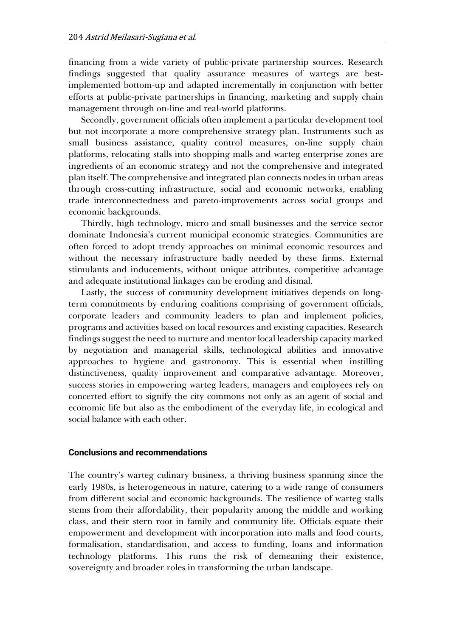financing from a wide variety of public-private partnership sources. Research findings suggested that quality assurance measures of wartegs are bestimplemented bottom-up and adapted incrementally in conjunction with better efforts at public-private partnerships in financing, marketing and supply chain management through on-line and real-world platforms.

Secondly, government officials often implement a particular development tool but not incorporate a more comprehensive strategy plan. Instruments such as small business assistance, quality control measures, on-line supply chain platforms, relocating stalls into shopping malls and warteg enterprise zones are ingredients of an economic strategy and not the comprehensive and integrated plan itself. The comprehensive and integrated plan connects nodes in urban areas through cross-cutting infrastructure, social and economic networks, enabling trade interconnectedness and pareto-improvements across social groups and economic backgrounds.

Thirdly, high technology, micro and small businesses and the service sector dominate Indonesia's current municipal economic strategies. Communities are often forced to adopt trendy approaches on minimal economic resources and without the necessary infrastructure badly needed by these firms. External stimulants and inducements, without unique attributes, competitive advantage and adequate institutional linkages can be eroding and dismal.

Lastly, the success of community development initiatives depends on longterm commitments by enduring coalitions comprising of government officials, corporate leaders and community leaders to plan and implement policies, programs and activities based on local resources and existing capacities. Research findings suggest the need to nurture and mentor local leadership capacity marked by negotiation and managerial skills, technological abilities and innovative approaches to hygiene and gastronomy. This is essential when instilling distinctiveness, quality improvement and comparative advantage. Moreover, success stories in empowering warteg leaders, managers and employees rely on concerted effort to signify the city commons not only as an agent of social and economic life but also as the embodiment of the everyday life, in ecological and social balance with each other.

#### **Conclusions and recommendations**

The country's warteg culinary business, a thriving business spanning since the early 1980s, is heterogeneous in nature, catering to a wide range of consumers from different social and economic backgrounds. The resilience of warteg stalls stems from their affordability, their popularity among the middle and working class, and their stern root in family and community life. Officials equate their empowerment and development with incorporation into malls and food courts, formalisation, standardisation, and access to funding, loans and information technology platforms. This runs the risk of demeaning their existence, sovereignty and broader roles in transforming the urban landscape.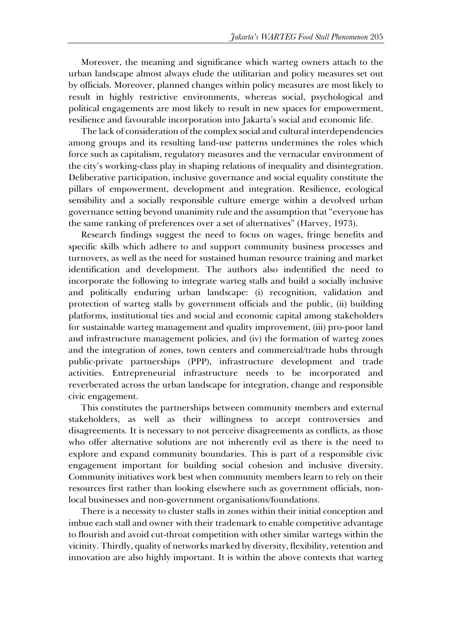Moreover, the meaning and significance which warteg owners attach to the urban landscape almost always elude the utilitarian and policy measures set out by officials. Moreover, planned changes within policy measures are most likely to result in highly restrictive environments, whereas social, psychological and political engagements are most likely to result in new spaces for empowerment, resilience and favourable incorporation into Jakarta's social and economic life.

The lack of consideration of the complex social and cultural interdependencies among groups and its resulting land-use patterns undermines the roles which force such as capitalism, regulatory measures and the vernacular environment of the city's working-class play in shaping relations of inequality and disintegration. Deliberative participation, inclusive governance and social equality constitute the pillars of empowerment, development and integration. Resilience, ecological sensibility and a socially responsible culture emerge within a devolved urban governance setting beyond unanimity rule and the assumption that "everyone has the same ranking of preferences over a set of alternatives" (Harvey, 1973).

Research findings suggest the need to focus on wages, fringe benefits and specific skills which adhere to and support community business processes and turnovers, as well as the need for sustained human resource training and market identification and development. The authors also indentified the need to incorporate the following to integrate warteg stalls and build a socially inclusive and politically enduring urban landscape: (i) recognition, validation and protection of warteg stalls by government officials and the public, (ii) building platforms, institutional ties and social and economic capital among stakeholders for sustainable warteg management and quality improvement, (iii) pro-poor land and infrastructure management policies, and (iv) the formation of warteg zones and the integration of zones, town centers and commercial/trade hubs through public-private partnerships (PPP), infrastructure development and trade activities. Entrepreneurial infrastructure needs to be incorporated and reverberated across the urban landscape for integration, change and responsible civic engagement.

This constitutes the partnerships between community members and external stakeholders, as well as their willingness to accept controversies and disagreements. It is necessary to not perceive disagreements as conflicts, as those who offer alternative solutions are not inherently evil as there is the need to explore and expand community boundaries. This is part of a responsible civic engagement important for building social cohesion and inclusive diversity. Community initiatives work best when community members learn to rely on their resources first rather than looking elsewhere such as government officials, nonlocal businesses and non-government organisations/foundations.

There is a necessity to cluster stalls in zones within their initial conception and imbue each stall and owner with their trademark to enable competitive advantage to flourish and avoid cut-throat competition with other similar wartegs within the vicinity. Thirdly, quality of networks marked by diversity, flexibility, retention and innovation are also highly important. It is within the above contexts that warteg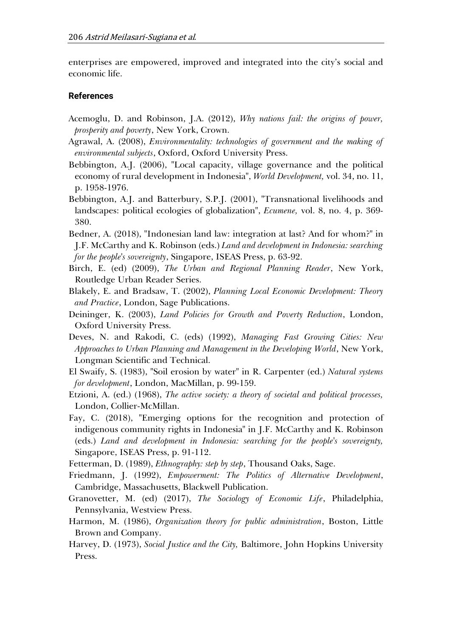enterprises are empowered, improved and integrated into the city's social and economic life.

#### **References**

- Acemoglu, D. and Robinson, J.A. (2012), *Why nations fail: the origins of power, prosperity and poverty*, New York, Crown.
- Agrawal, A. (2008), *Environmentality: technologies of government and the making of environmental subjects*, Oxford, Oxford University Press.
- Bebbington, A.J. (2006), "Local capacity, village governance and the political economy of rural development in Indonesia", *World Development,* vol. 34, no. 11, p. 1958-1976.
- Bebbington, A.J. and Batterbury, S.P.J. (2001), "Transnational livelihoods and landscapes: political ecologies of globalization", *Ecumene,* vol. 8, no. 4, p. 369- 380.
- Bedner, A. (2018), "Indonesian land law: integration at last? And for whom?" in J.F. McCarthy and K. Robinson (eds.) *Land and development in Indonesia: searching for the people's sovereignty*, Singapore, ISEAS Press, p. 63-92.
- Birch, E. (ed) (2009), *The Urban and Regional Planning Reader*, New York, Routledge Urban Reader Series.
- Blakely, E. and Bradsaw, T. (2002), *Planning Local Economic Development: Theory and Practice*, London, Sage Publications.
- Deininger, K. (2003), *Land Policies for Growth and Poverty Reduction*, London, Oxford University Press.
- Deves, N. and Rakodi, C. (eds) (1992), *Managing Fast Growing Cities: New Approaches to Urban Planning and Management in the Developing World*, New York, Longman Scientific and Technical.
- El Swaify, S. (1983), "Soil erosion by water" in R. Carpenter (ed.) *Natural systems for development*, London, MacMillan, p. 99-159.
- Etzioni, A. (ed.) (1968), *The active society: a theory of societal and political processes,* London, Collier-McMillan.
- Fay, C. (2018), "Emerging options for the recognition and protection of indigenous community rights in Indonesia" in J.F. McCarthy and K. Robinson (eds.) *Land and development in Indonesia: searching for the people's sovereignty,*  Singapore, ISEAS Press, p. 91-112.
- Fetterman, D. (1989), *Ethnography: step by step*, Thousand Oaks, Sage.
- Friedmann, J. (1992), *Empowerment: The Politics of Alternative Development*, Cambridge, Massachusetts, Blackwell Publication.
- Granovetter, M. (ed) (2017), *The Sociology of Economic Life*, Philadelphia, Pennsylvania, Westview Press.
- Harmon, M. (1986), *Organization theory for public administration*, Boston, Little Brown and Company.
- Harvey, D. (1973), *Social Justice and the City,* Baltimore, John Hopkins University Press.